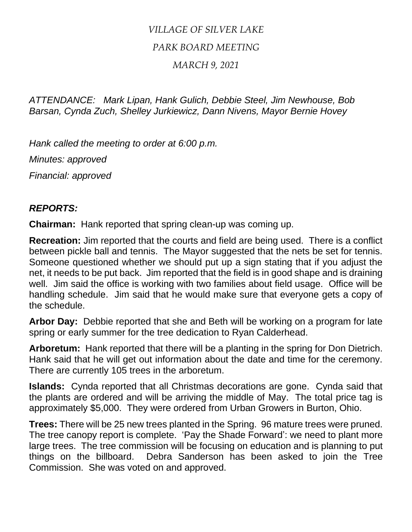## *VILLAGE OF SILVER LAKE PARK BOARD MEETING*

## *MARCH 9, 2021*

*ATTENDANCE: Mark Lipan, Hank Gulich, Debbie Steel, Jim Newhouse, Bob Barsan, Cynda Zuch, Shelley Jurkiewicz, Dann Nivens, Mayor Bernie Hovey*

*Hank called the meeting to order at 6:00 p.m.*

*Minutes: approved*

*Financial: approved*

## *REPORTS:*

**Chairman:** Hank reported that spring clean-up was coming up.

**Recreation:** Jim reported that the courts and field are being used. There is a conflict between pickle ball and tennis. The Mayor suggested that the nets be set for tennis. Someone questioned whether we should put up a sign stating that if you adjust the net, it needs to be put back. Jim reported that the field is in good shape and is draining well. Jim said the office is working with two families about field usage. Office will be handling schedule. Jim said that he would make sure that everyone gets a copy of the schedule.

**Arbor Day:** Debbie reported that she and Beth will be working on a program for late spring or early summer for the tree dedication to Ryan Calderhead.

**Arboretum:** Hank reported that there will be a planting in the spring for Don Dietrich. Hank said that he will get out information about the date and time for the ceremony. There are currently 105 trees in the arboretum.

**Islands:** Cynda reported that all Christmas decorations are gone. Cynda said that the plants are ordered and will be arriving the middle of May. The total price tag is approximately \$5,000. They were ordered from Urban Growers in Burton, Ohio.

**Trees:** There will be 25 new trees planted in the Spring. 96 mature trees were pruned. The tree canopy report is complete. 'Pay the Shade Forward': we need to plant more large trees. The tree commission will be focusing on education and is planning to put things on the billboard. Debra Sanderson has been asked to join the Tree Commission. She was voted on and approved.